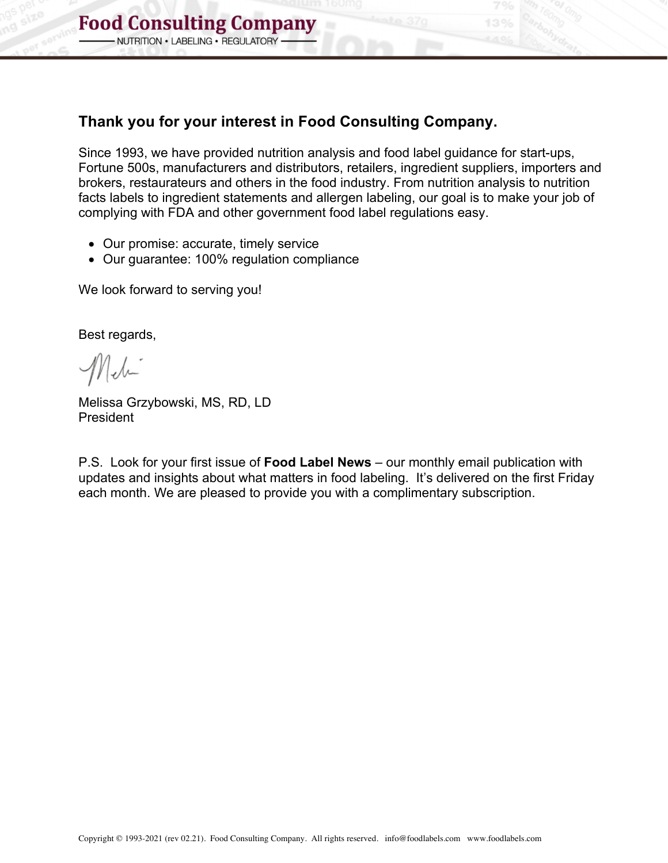## **Thank you for your interest in Food Consulting Company.**

Since 1993, we have provided nutrition analysis and food label guidance for start-ups, Fortune 500s, manufacturers and distributors, retailers, ingredient suppliers, importers and brokers, restaurateurs and others in the food industry. From nutrition analysis to nutrition facts labels to ingredient statements and allergen labeling, our goal is to make your job of complying with FDA and other government food label regulations easy.

- Our promise: accurate, timely service
- Our guarantee: 100% regulation compliance

We look forward to serving you!

Best regards,

Meli

Melissa Grzybowski, MS, RD, LD President

P.S. Look for your first issue of **Food Label News** – our monthly email publication with updates and insights about what matters in food labeling. It's delivered on the first Friday each month. We are pleased to provide you with a complimentary subscription.